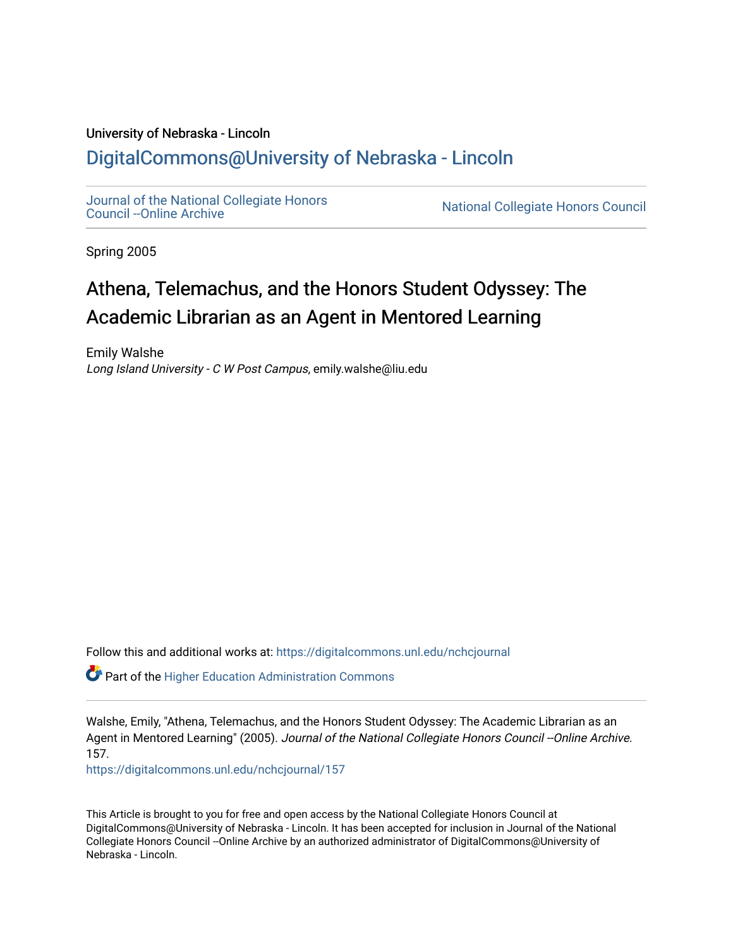## University of Nebraska - Lincoln [DigitalCommons@University of Nebraska - Lincoln](https://digitalcommons.unl.edu/)

[Journal of the National Collegiate Honors](https://digitalcommons.unl.edu/nchcjournal) 

National Collegiate Honors Council

Spring 2005

## Athena, Telemachus, and the Honors Student Odyssey: The Academic Librarian as an Agent in Mentored Learning

Emily Walshe Long Island University - C W Post Campus, emily.walshe@liu.edu

Follow this and additional works at: [https://digitalcommons.unl.edu/nchcjournal](https://digitalcommons.unl.edu/nchcjournal?utm_source=digitalcommons.unl.edu%2Fnchcjournal%2F157&utm_medium=PDF&utm_campaign=PDFCoverPages) 

Part of the [Higher Education Administration Commons](http://network.bepress.com/hgg/discipline/791?utm_source=digitalcommons.unl.edu%2Fnchcjournal%2F157&utm_medium=PDF&utm_campaign=PDFCoverPages) 

Walshe, Emily, "Athena, Telemachus, and the Honors Student Odyssey: The Academic Librarian as an Agent in Mentored Learning" (2005). Journal of the National Collegiate Honors Council --Online Archive. 157.

[https://digitalcommons.unl.edu/nchcjournal/157](https://digitalcommons.unl.edu/nchcjournal/157?utm_source=digitalcommons.unl.edu%2Fnchcjournal%2F157&utm_medium=PDF&utm_campaign=PDFCoverPages) 

This Article is brought to you for free and open access by the National Collegiate Honors Council at DigitalCommons@University of Nebraska - Lincoln. It has been accepted for inclusion in Journal of the National Collegiate Honors Council --Online Archive by an authorized administrator of DigitalCommons@University of Nebraska - Lincoln.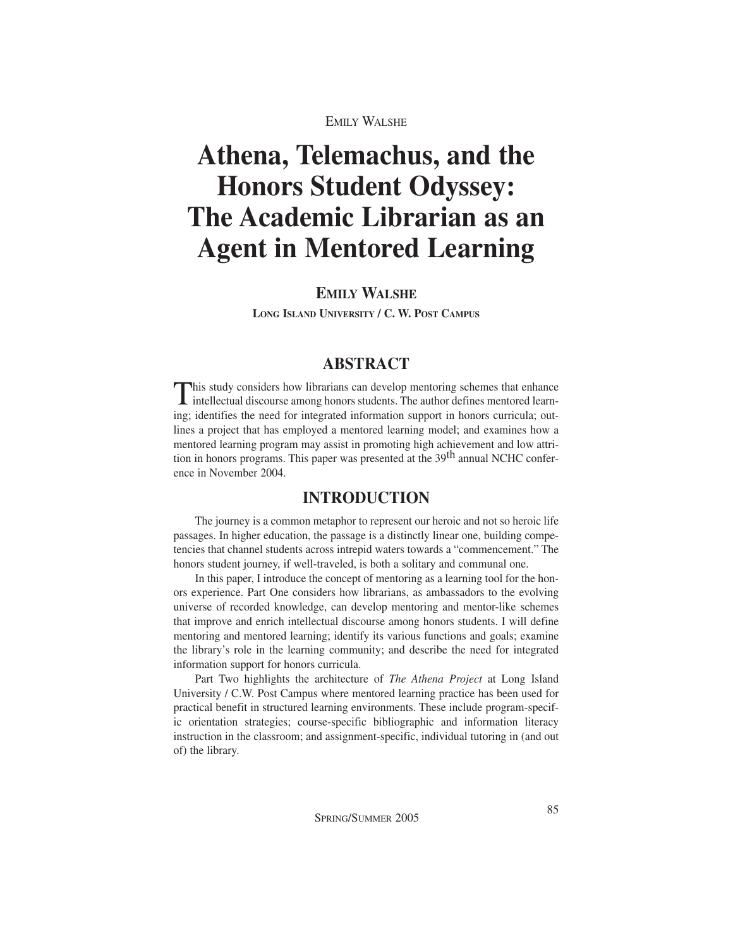# **Athena, Telemachus, and the Honors Student Odyssey: The Academic Librarian as an Agent in Mentored Learning**

## **EMILY WALSHE**

**LONG ISLAND UNIVERSITY / C. W. POST CAMPUS**

## **ABSTRACT**

This study considers how librarians can develop mentoring schemes that enhance  $\blacksquare$  intellectual discourse among honors students. The author defines mentored learning; identifies the need for integrated information support in honors curricula; outlines a project that has employed a mentored learning model; and examines how a mentored learning program may assist in promoting high achievement and low attrition in honors programs. This paper was presented at the 39<sup>th</sup> annual NCHC conference in November 2004.

### **INTRODUCTION**

The journey is a common metaphor to represent our heroic and not so heroic life passages. In higher education, the passage is a distinctly linear one, building competencies that channel students across intrepid waters towards a "commencement." The honors student journey, if well-traveled, is both a solitary and communal one.

In this paper, I introduce the concept of mentoring as a learning tool for the honors experience. Part One considers how librarians, as ambassadors to the evolving universe of recorded knowledge, can develop mentoring and mentor-like schemes that improve and enrich intellectual discourse among honors students. I will define mentoring and mentored learning; identify its various functions and goals; examine the library's role in the learning community; and describe the need for integrated information support for honors curricula.

Part Two highlights the architecture of *The Athena Project* at Long Island University / C.W. Post Campus where mentored learning practice has been used for practical benefit in structured learning environments. These include program-specific orientation strategies; course-specific bibliographic and information literacy instruction in the classroom; and assignment-specific, individual tutoring in (and out of) the library.

SPRING/SUMMER 2005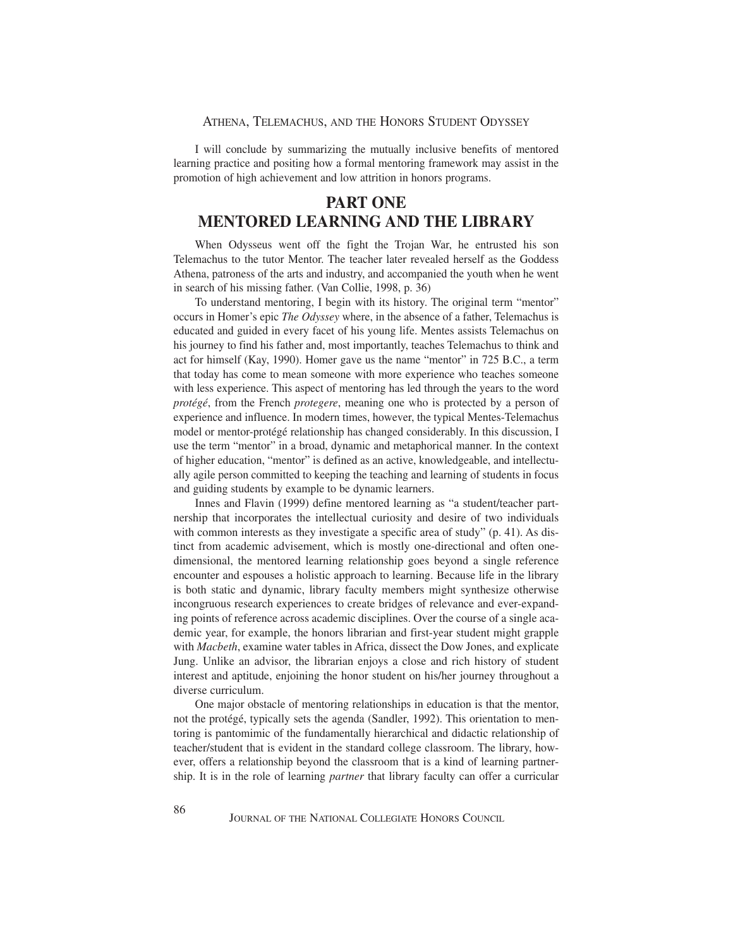#### ATHENA, TELEMACHUS, AND THE HONORS STUDENT ODYSSEY

I will conclude by summarizing the mutually inclusive benefits of mentored learning practice and positing how a formal mentoring framework may assist in the promotion of high achievement and low attrition in honors programs.

## **PART ONE MENTORED LEARNING AND THE LIBRARY**

When Odysseus went off the fight the Trojan War, he entrusted his son Telemachus to the tutor Mentor. The teacher later revealed herself as the Goddess Athena, patroness of the arts and industry, and accompanied the youth when he went in search of his missing father. (Van Collie, 1998, p. 36)

To understand mentoring, I begin with its history. The original term "mentor" occurs in Homer's epic *The Odyssey* where, in the absence of a father, Telemachus is educated and guided in every facet of his young life. Mentes assists Telemachus on his journey to find his father and, most importantly, teaches Telemachus to think and act for himself (Kay, 1990). Homer gave us the name "mentor" in 725 B.C., a term that today has come to mean someone with more experience who teaches someone with less experience. This aspect of mentoring has led through the years to the word *protégé*, from the French *protegere*, meaning one who is protected by a person of experience and influence. In modern times, however, the typical Mentes-Telemachus model or mentor-protégé relationship has changed considerably. In this discussion, I use the term "mentor" in a broad, dynamic and metaphorical manner. In the context of higher education, "mentor" is defined as an active, knowledgeable, and intellectually agile person committed to keeping the teaching and learning of students in focus and guiding students by example to be dynamic learners.

Innes and Flavin (1999) define mentored learning as "a student/teacher partnership that incorporates the intellectual curiosity and desire of two individuals with common interests as they investigate a specific area of study" (p. 41). As distinct from academic advisement, which is mostly one-directional and often onedimensional, the mentored learning relationship goes beyond a single reference encounter and espouses a holistic approach to learning. Because life in the library is both static and dynamic, library faculty members might synthesize otherwise incongruous research experiences to create bridges of relevance and ever-expanding points of reference across academic disciplines. Over the course of a single academic year, for example, the honors librarian and first-year student might grapple with *Macbeth*, examine water tables in Africa, dissect the Dow Jones, and explicate Jung. Unlike an advisor, the librarian enjoys a close and rich history of student interest and aptitude, enjoining the honor student on his/her journey throughout a diverse curriculum.

One major obstacle of mentoring relationships in education is that the mentor, not the protégé, typically sets the agenda (Sandler, 1992). This orientation to mentoring is pantomimic of the fundamentally hierarchical and didactic relationship of teacher/student that is evident in the standard college classroom. The library, however, offers a relationship beyond the classroom that is a kind of learning partnership. It is in the role of learning *partner* that library faculty can offer a curricular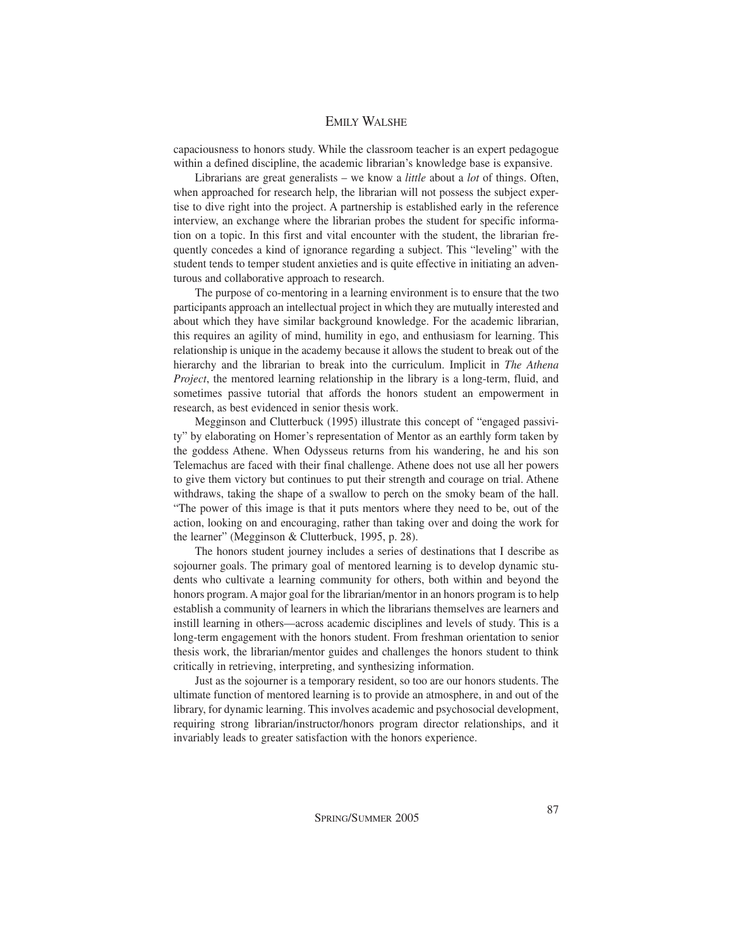capaciousness to honors study. While the classroom teacher is an expert pedagogue within a defined discipline, the academic librarian's knowledge base is expansive.

Librarians are great generalists – we know a *little* about a *lot* of things. Often, when approached for research help, the librarian will not possess the subject expertise to dive right into the project. A partnership is established early in the reference interview, an exchange where the librarian probes the student for specific information on a topic. In this first and vital encounter with the student, the librarian frequently concedes a kind of ignorance regarding a subject. This "leveling" with the student tends to temper student anxieties and is quite effective in initiating an adventurous and collaborative approach to research.

The purpose of co-mentoring in a learning environment is to ensure that the two participants approach an intellectual project in which they are mutually interested and about which they have similar background knowledge. For the academic librarian, this requires an agility of mind, humility in ego, and enthusiasm for learning. This relationship is unique in the academy because it allows the student to break out of the hierarchy and the librarian to break into the curriculum. Implicit in *The Athena Project*, the mentored learning relationship in the library is a long-term, fluid, and sometimes passive tutorial that affords the honors student an empowerment in research, as best evidenced in senior thesis work.

Megginson and Clutterbuck (1995) illustrate this concept of "engaged passivity" by elaborating on Homer's representation of Mentor as an earthly form taken by the goddess Athene. When Odysseus returns from his wandering, he and his son Telemachus are faced with their final challenge. Athene does not use all her powers to give them victory but continues to put their strength and courage on trial. Athene withdraws, taking the shape of a swallow to perch on the smoky beam of the hall. "The power of this image is that it puts mentors where they need to be, out of the action, looking on and encouraging, rather than taking over and doing the work for the learner" (Megginson & Clutterbuck, 1995, p. 28).

The honors student journey includes a series of destinations that I describe as sojourner goals. The primary goal of mentored learning is to develop dynamic students who cultivate a learning community for others, both within and beyond the honors program. A major goal for the librarian/mentor in an honors program is to help establish a community of learners in which the librarians themselves are learners and instill learning in others—across academic disciplines and levels of study. This is a long-term engagement with the honors student. From freshman orientation to senior thesis work, the librarian/mentor guides and challenges the honors student to think critically in retrieving, interpreting, and synthesizing information.

Just as the sojourner is a temporary resident, so too are our honors students. The ultimate function of mentored learning is to provide an atmosphere, in and out of the library, for dynamic learning. This involves academic and psychosocial development, requiring strong librarian/instructor/honors program director relationships, and it invariably leads to greater satisfaction with the honors experience.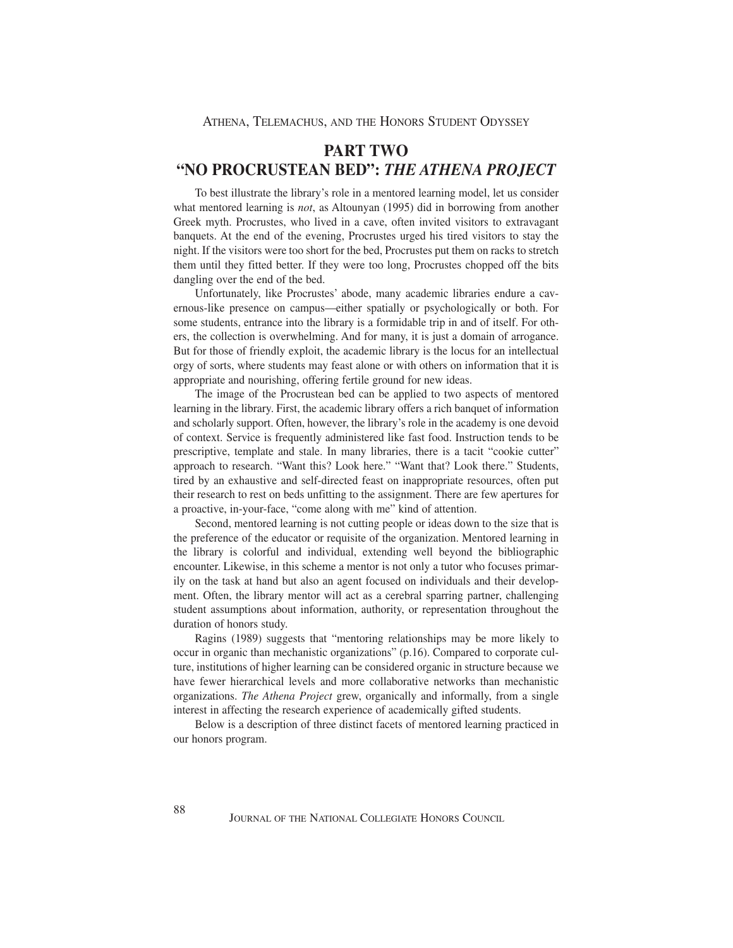## **PART TWO "NO PROCRUSTEAN BED":** *THE ATHENA PROJECT*

To best illustrate the library's role in a mentored learning model, let us consider what mentored learning is *not*, as Altounyan (1995) did in borrowing from another Greek myth. Procrustes, who lived in a cave, often invited visitors to extravagant banquets. At the end of the evening, Procrustes urged his tired visitors to stay the night. If the visitors were too short for the bed, Procrustes put them on racks to stretch them until they fitted better. If they were too long, Procrustes chopped off the bits dangling over the end of the bed.

Unfortunately, like Procrustes' abode, many academic libraries endure a cavernous-like presence on campus—either spatially or psychologically or both. For some students, entrance into the library is a formidable trip in and of itself. For others, the collection is overwhelming. And for many, it is just a domain of arrogance. But for those of friendly exploit, the academic library is the locus for an intellectual orgy of sorts, where students may feast alone or with others on information that it is appropriate and nourishing, offering fertile ground for new ideas.

The image of the Procrustean bed can be applied to two aspects of mentored learning in the library. First, the academic library offers a rich banquet of information and scholarly support. Often, however, the library's role in the academy is one devoid of context. Service is frequently administered like fast food. Instruction tends to be prescriptive, template and stale. In many libraries, there is a tacit "cookie cutter" approach to research. "Want this? Look here." "Want that? Look there." Students, tired by an exhaustive and self-directed feast on inappropriate resources, often put their research to rest on beds unfitting to the assignment. There are few apertures for a proactive, in-your-face, "come along with me" kind of attention.

Second, mentored learning is not cutting people or ideas down to the size that is the preference of the educator or requisite of the organization. Mentored learning in the library is colorful and individual, extending well beyond the bibliographic encounter. Likewise, in this scheme a mentor is not only a tutor who focuses primarily on the task at hand but also an agent focused on individuals and their development. Often, the library mentor will act as a cerebral sparring partner, challenging student assumptions about information, authority, or representation throughout the duration of honors study.

Ragins (1989) suggests that "mentoring relationships may be more likely to occur in organic than mechanistic organizations" (p.16). Compared to corporate culture, institutions of higher learning can be considered organic in structure because we have fewer hierarchical levels and more collaborative networks than mechanistic organizations. *The Athena Project* grew, organically and informally, from a single interest in affecting the research experience of academically gifted students.

Below is a description of three distinct facets of mentored learning practiced in our honors program.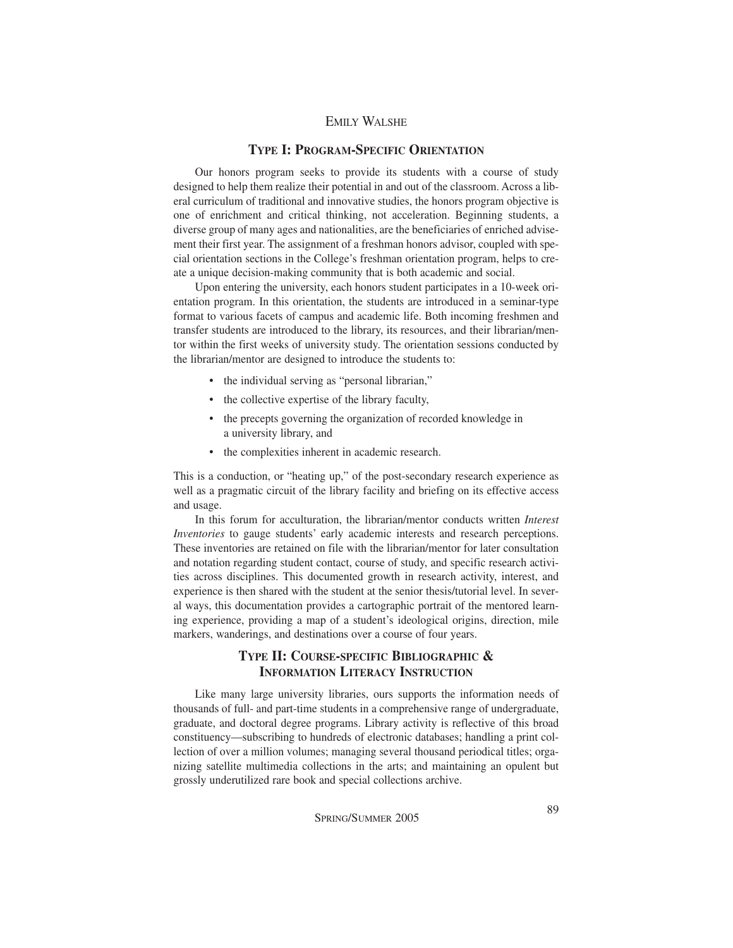#### **TYPE I: PROGRAM-SPECIFIC ORIENTATION**

Our honors program seeks to provide its students with a course of study designed to help them realize their potential in and out of the classroom. Across a liberal curriculum of traditional and innovative studies, the honors program objective is one of enrichment and critical thinking, not acceleration. Beginning students, a diverse group of many ages and nationalities, are the beneficiaries of enriched advisement their first year. The assignment of a freshman honors advisor, coupled with special orientation sections in the College's freshman orientation program, helps to create a unique decision-making community that is both academic and social.

Upon entering the university, each honors student participates in a 10-week orientation program. In this orientation, the students are introduced in a seminar-type format to various facets of campus and academic life. Both incoming freshmen and transfer students are introduced to the library, its resources, and their librarian/mentor within the first weeks of university study. The orientation sessions conducted by the librarian/mentor are designed to introduce the students to:

- the individual serving as "personal librarian,"
- the collective expertise of the library faculty,
- the precepts governing the organization of recorded knowledge in a university library, and
- the complexities inherent in academic research.

This is a conduction, or "heating up," of the post-secondary research experience as well as a pragmatic circuit of the library facility and briefing on its effective access and usage.

In this forum for acculturation, the librarian/mentor conducts written *Interest Inventories* to gauge students' early academic interests and research perceptions. These inventories are retained on file with the librarian/mentor for later consultation and notation regarding student contact, course of study, and specific research activities across disciplines. This documented growth in research activity, interest, and experience is then shared with the student at the senior thesis/tutorial level. In several ways, this documentation provides a cartographic portrait of the mentored learning experience, providing a map of a student's ideological origins, direction, mile markers, wanderings, and destinations over a course of four years.

#### **TYPE II: COURSE-SPECIFIC BIBLIOGRAPHIC & INFORMATION LITERACY INSTRUCTION**

Like many large university libraries, ours supports the information needs of thousands of full- and part-time students in a comprehensive range of undergraduate, graduate, and doctoral degree programs. Library activity is reflective of this broad constituency—subscribing to hundreds of electronic databases; handling a print collection of over a million volumes; managing several thousand periodical titles; organizing satellite multimedia collections in the arts; and maintaining an opulent but grossly underutilized rare book and special collections archive.

SPRING/SUMMER 2005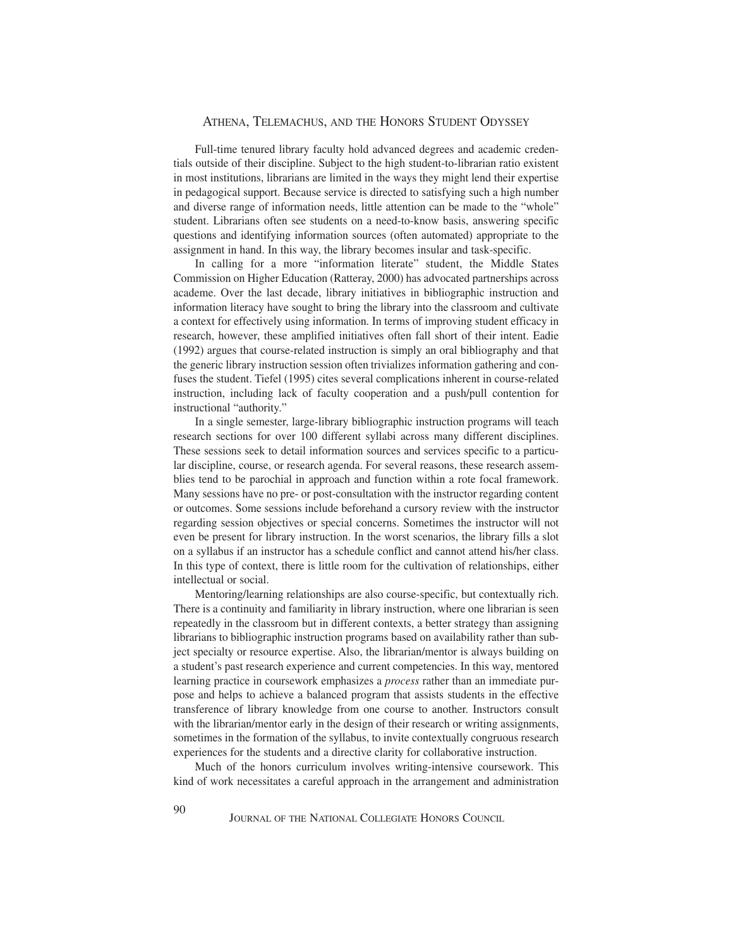#### ATHENA, TELEMACHUS, AND THE HONORS STUDENT ODYSSEY

Full-time tenured library faculty hold advanced degrees and academic credentials outside of their discipline. Subject to the high student-to-librarian ratio existent in most institutions, librarians are limited in the ways they might lend their expertise in pedagogical support. Because service is directed to satisfying such a high number and diverse range of information needs, little attention can be made to the "whole" student. Librarians often see students on a need-to-know basis, answering specific questions and identifying information sources (often automated) appropriate to the assignment in hand. In this way, the library becomes insular and task-specific.

In calling for a more "information literate" student, the Middle States Commission on Higher Education (Ratteray, 2000) has advocated partnerships across academe. Over the last decade, library initiatives in bibliographic instruction and information literacy have sought to bring the library into the classroom and cultivate a context for effectively using information. In terms of improving student efficacy in research, however, these amplified initiatives often fall short of their intent. Eadie (1992) argues that course-related instruction is simply an oral bibliography and that the generic library instruction session often trivializes information gathering and confuses the student. Tiefel (1995) cites several complications inherent in course-related instruction, including lack of faculty cooperation and a push/pull contention for instructional "authority."

In a single semester, large-library bibliographic instruction programs will teach research sections for over 100 different syllabi across many different disciplines. These sessions seek to detail information sources and services specific to a particular discipline, course, or research agenda. For several reasons, these research assemblies tend to be parochial in approach and function within a rote focal framework. Many sessions have no pre- or post-consultation with the instructor regarding content or outcomes. Some sessions include beforehand a cursory review with the instructor regarding session objectives or special concerns. Sometimes the instructor will not even be present for library instruction. In the worst scenarios, the library fills a slot on a syllabus if an instructor has a schedule conflict and cannot attend his/her class. In this type of context, there is little room for the cultivation of relationships, either intellectual or social.

Mentoring/learning relationships are also course-specific, but contextually rich. There is a continuity and familiarity in library instruction, where one librarian is seen repeatedly in the classroom but in different contexts, a better strategy than assigning librarians to bibliographic instruction programs based on availability rather than subject specialty or resource expertise. Also, the librarian/mentor is always building on a student's past research experience and current competencies. In this way, mentored learning practice in coursework emphasizes a *process* rather than an immediate purpose and helps to achieve a balanced program that assists students in the effective transference of library knowledge from one course to another. Instructors consult with the librarian/mentor early in the design of their research or writing assignments, sometimes in the formation of the syllabus, to invite contextually congruous research experiences for the students and a directive clarity for collaborative instruction.

Much of the honors curriculum involves writing-intensive coursework. This kind of work necessitates a careful approach in the arrangement and administration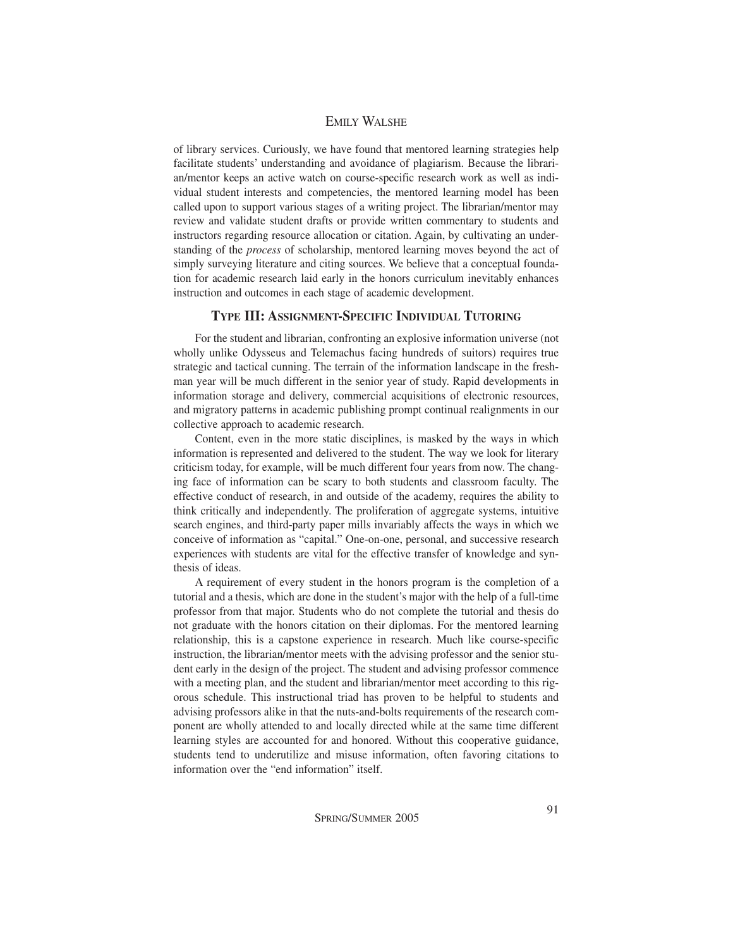of library services. Curiously, we have found that mentored learning strategies help facilitate students' understanding and avoidance of plagiarism. Because the librarian/mentor keeps an active watch on course-specific research work as well as individual student interests and competencies, the mentored learning model has been called upon to support various stages of a writing project. The librarian/mentor may review and validate student drafts or provide written commentary to students and instructors regarding resource allocation or citation. Again, by cultivating an understanding of the *process* of scholarship, mentored learning moves beyond the act of simply surveying literature and citing sources. We believe that a conceptual foundation for academic research laid early in the honors curriculum inevitably enhances instruction and outcomes in each stage of academic development.

#### **TYPE III: ASSIGNMENT-SPECIFIC INDIVIDUAL TUTORING**

For the student and librarian, confronting an explosive information universe (not wholly unlike Odysseus and Telemachus facing hundreds of suitors) requires true strategic and tactical cunning. The terrain of the information landscape in the freshman year will be much different in the senior year of study. Rapid developments in information storage and delivery, commercial acquisitions of electronic resources, and migratory patterns in academic publishing prompt continual realignments in our collective approach to academic research.

Content, even in the more static disciplines, is masked by the ways in which information is represented and delivered to the student. The way we look for literary criticism today, for example, will be much different four years from now. The changing face of information can be scary to both students and classroom faculty. The effective conduct of research, in and outside of the academy, requires the ability to think critically and independently. The proliferation of aggregate systems, intuitive search engines, and third-party paper mills invariably affects the ways in which we conceive of information as "capital." One-on-one, personal, and successive research experiences with students are vital for the effective transfer of knowledge and synthesis of ideas.

A requirement of every student in the honors program is the completion of a tutorial and a thesis, which are done in the student's major with the help of a full-time professor from that major. Students who do not complete the tutorial and thesis do not graduate with the honors citation on their diplomas. For the mentored learning relationship, this is a capstone experience in research. Much like course-specific instruction, the librarian/mentor meets with the advising professor and the senior student early in the design of the project. The student and advising professor commence with a meeting plan, and the student and librarian/mentor meet according to this rigorous schedule. This instructional triad has proven to be helpful to students and advising professors alike in that the nuts-and-bolts requirements of the research component are wholly attended to and locally directed while at the same time different learning styles are accounted for and honored. Without this cooperative guidance, students tend to underutilize and misuse information, often favoring citations to information over the "end information" itself.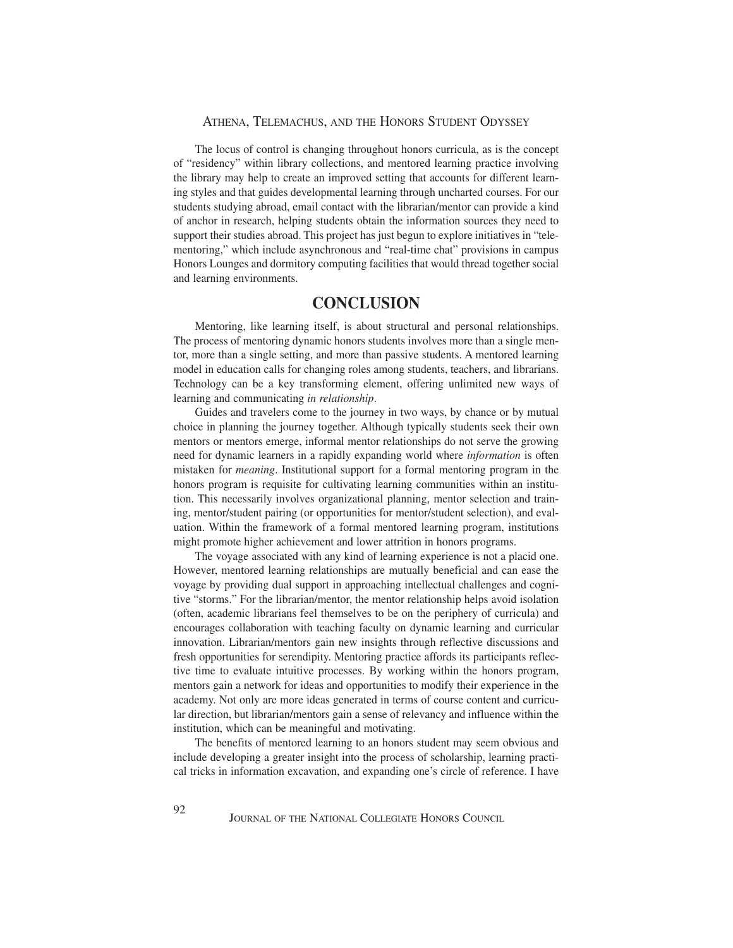#### ATHENA, TELEMACHUS, AND THE HONORS STUDENT ODYSSEY

The locus of control is changing throughout honors curricula, as is the concept of "residency" within library collections, and mentored learning practice involving the library may help to create an improved setting that accounts for different learning styles and that guides developmental learning through uncharted courses. For our students studying abroad, email contact with the librarian/mentor can provide a kind of anchor in research, helping students obtain the information sources they need to support their studies abroad. This project has just begun to explore initiatives in "telementoring," which include asynchronous and "real-time chat" provisions in campus Honors Lounges and dormitory computing facilities that would thread together social and learning environments.

## **CONCLUSION**

Mentoring, like learning itself, is about structural and personal relationships. The process of mentoring dynamic honors students involves more than a single mentor, more than a single setting, and more than passive students. A mentored learning model in education calls for changing roles among students, teachers, and librarians. Technology can be a key transforming element, offering unlimited new ways of learning and communicating *in relationship*.

Guides and travelers come to the journey in two ways, by chance or by mutual choice in planning the journey together. Although typically students seek their own mentors or mentors emerge, informal mentor relationships do not serve the growing need for dynamic learners in a rapidly expanding world where *information* is often mistaken for *meaning*. Institutional support for a formal mentoring program in the honors program is requisite for cultivating learning communities within an institution. This necessarily involves organizational planning, mentor selection and training, mentor/student pairing (or opportunities for mentor/student selection), and evaluation. Within the framework of a formal mentored learning program, institutions might promote higher achievement and lower attrition in honors programs.

The voyage associated with any kind of learning experience is not a placid one. However, mentored learning relationships are mutually beneficial and can ease the voyage by providing dual support in approaching intellectual challenges and cognitive "storms." For the librarian/mentor, the mentor relationship helps avoid isolation (often, academic librarians feel themselves to be on the periphery of curricula) and encourages collaboration with teaching faculty on dynamic learning and curricular innovation. Librarian/mentors gain new insights through reflective discussions and fresh opportunities for serendipity. Mentoring practice affords its participants reflective time to evaluate intuitive processes. By working within the honors program, mentors gain a network for ideas and opportunities to modify their experience in the academy. Not only are more ideas generated in terms of course content and curricular direction, but librarian/mentors gain a sense of relevancy and influence within the institution, which can be meaningful and motivating.

The benefits of mentored learning to an honors student may seem obvious and include developing a greater insight into the process of scholarship, learning practical tricks in information excavation, and expanding one's circle of reference. I have